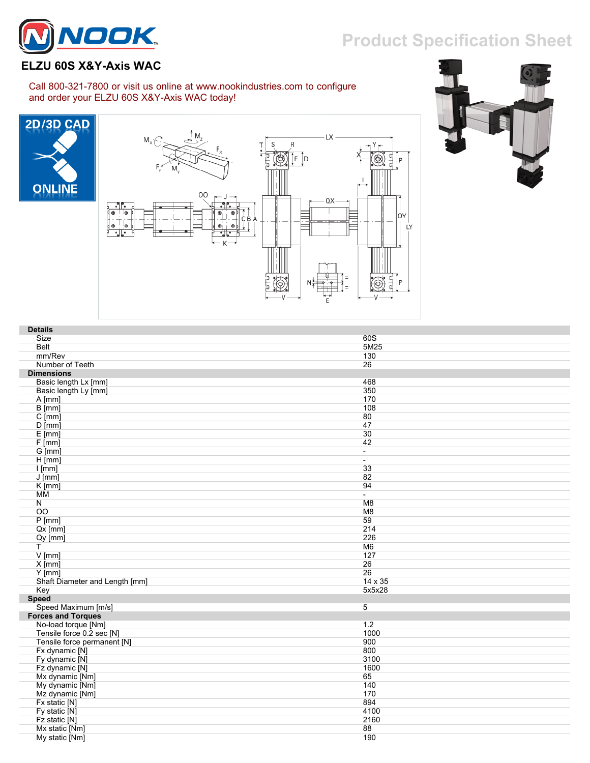## **Product Specification Sheet**



## **ELZU 60S X&Y-Axis WAC**

## Call 800-321-7800 or visit us online at www.nookindustries.com to configure and order your ELZU 60S X&Y-Axis WAC today!







| <b>Details</b>                 |                          |
|--------------------------------|--------------------------|
| Size                           | 60S                      |
| <b>Belt</b>                    | 5M25                     |
| mm/Rev                         | 130                      |
| Number of Teeth                | 26                       |
| <b>Dimensions</b>              |                          |
| Basic length Lx [mm]           | 468                      |
| Basic length Ly [mm]           | 350                      |
| A [mm]                         | 170                      |
| B [mm]                         | 108                      |
| $C$ [mm]                       | 80                       |
| $D$ [mm]                       | 47                       |
| $E$ [mm]                       | 30                       |
| F[mm]                          | 42                       |
| $G$ [mm]                       | $\overline{a}$           |
| $H$ [mm]                       | $\overline{\phantom{a}}$ |
| $l$ [mm]                       | 33                       |
| $J$ [mm]                       | 82                       |
| $K$ [mm]                       | 94                       |
| МM                             | $\sim$                   |
| N                              | M8                       |
| 00                             | M8                       |
| $P$ [mm]                       | 59                       |
| $Qx$ [mm]                      | 214                      |
| $Qy$ [mm]                      | 226                      |
| $\mathsf{T}$                   | M <sub>6</sub>           |
| $V$ [mm]                       | 127                      |
| $X$ [mm]                       | 26                       |
| $Y$ [mm]                       | 26                       |
| Shaft Diameter and Length [mm] | 14 x 35                  |
| Key                            | 5x5x28                   |
| <b>Speed</b>                   |                          |
| Speed Maximum [m/s]            | $\overline{5}$           |
| <b>Forces and Torques</b>      |                          |
| No-load torque [Nm]            | 1.2                      |
| Tensile force 0.2 sec [N]      | 1000                     |
| Tensile force permanent [N]    | 900                      |
| Fx dynamic [N]                 | 800                      |
| Fy dynamic [N]                 | 3100                     |
| Fz dynamic [N]                 | 1600                     |
| Mx dynamic [Nm]                | 65                       |
| My dynamic [Nm]                | 140                      |
| Mz dynamic [Nm]                | 170                      |
| Fx static [N]                  | 894                      |
| Fy static [N]                  | 4100                     |
| Fz static [N]                  | 2160                     |
| Mx static [Nm]                 | 88                       |
| My static [Nm]                 | 190                      |